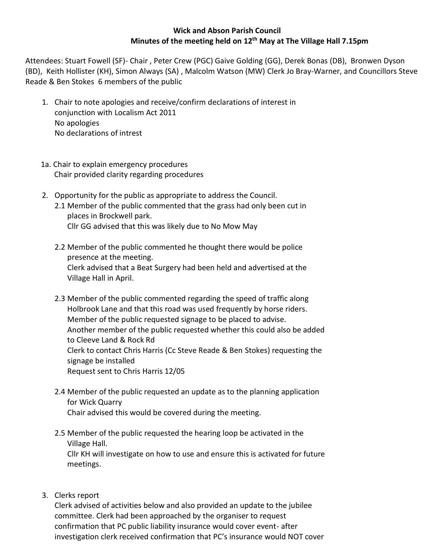## **Wick and Abson Parish Council Minutes of the meeting held on 12th May at The Village Hall 7.15pm**

Attendees: Stuart Fowell (SF)- Chair , Peter Crew (PGC) Gaive Golding (GG), Derek Bonas (DB), Bronwen Dyson (BD), Keith Hollister (KH), Simon Always (SA) , Malcolm Watson (MW) Clerk Jo Bray-Warner, and Councillors Steve Reade & Ben Stokes 6 members of the public

- 1. Chair to note apologies and receive/confirm declarations of interest in conjunction with Localism Act 2011 No apologies No declarations of intrest
- 1a. Chair to explain emergency procedures Chair provided clarity regarding procedures
- 2. Opportunity for the public as appropriate to address the Council. 2.1 Member of the public commented that the grass had only been cut in places in Brockwell park. Cllr GG advised that this was likely due to No Mow May
	- 2.2 Member of the public commented he thought there would be police presence at the meeting. Clerk advised that a Beat Surgery had been held and advertised at the Village Hall in April.
	- 2.3 Member of the public commented regarding the speed of traffic along Holbrook Lane and that this road was used frequently by horse riders. Member of the public requested signage to be placed to advise. Another member of the public requested whether this could also be added to Cleeve Land & Rock Rd Clerk to contact Chris Harris (Cc Steve Reade & Ben Stokes) requesting the signage be installed Request sent to Chris Harris 12/05
	- 2.4 Member of the public requested an update as to the planning application for Wick Quarry Chair advised this would be covered during the meeting.
	- 2.5 Member of the public requested the hearing loop be activated in the Village Hall.

Cllr KH will investigate on how to use and ensure this is activated for future meetings.

3. Clerks report

Clerk advised of activities below and also provided an update to the jubilee committee. Clerk had been approached by the organiser to request confirmation that PC public liability insurance would cover event- after investigation clerk received confirmation that PC's insurance would NOT cover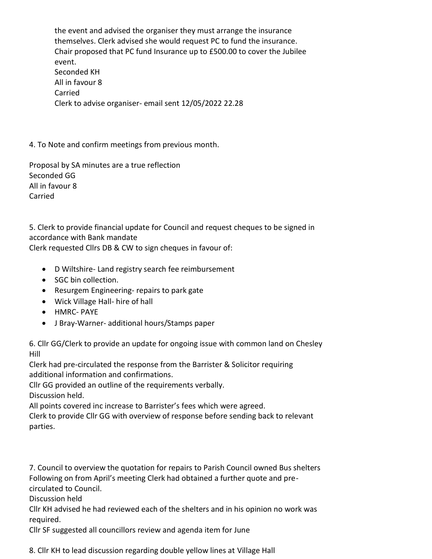the event and advised the organiser they must arrange the insurance themselves. Clerk advised she would request PC to fund the insurance. Chair proposed that PC fund Insurance up to £500.00 to cover the Jubilee event. Seconded KH All in favour 8 Carried Clerk to advise organiser- email sent 12/05/2022 22.28

4. To Note and confirm meetings from previous month.

Proposal by SA minutes are a true reflection Seconded GG All in favour 8 Carried

5. Clerk to provide financial update for Council and request cheques to be signed in accordance with Bank mandate

Clerk requested Cllrs DB & CW to sign cheques in favour of:

- D Wiltshire- Land registry search fee reimbursement
- SGC bin collection.
- Resurgem Engineering- repairs to park gate
- Wick Village Hall- hire of hall
- HMRC- PAYE
- J Bray-Warner- additional hours/Stamps paper

6. Cllr GG/Clerk to provide an update for ongoing issue with common land on Chesley Hill

Clerk had pre-circulated the response from the Barrister & Solicitor requiring additional information and confirmations.

Cllr GG provided an outline of the requirements verbally. Discussion held.

All points covered inc increase to Barrister's fees which were agreed. Clerk to provide Cllr GG with overview of response before sending back to relevant parties.

7. Council to overview the quotation for repairs to Parish Council owned Bus shelters Following on from April's meeting Clerk had obtained a further quote and precirculated to Council.

Discussion held

Cllr KH advised he had reviewed each of the shelters and in his opinion no work was required.

Cllr SF suggested all councillors review and agenda item for June

8. Cllr KH to lead discussion regarding double yellow lines at Village Hall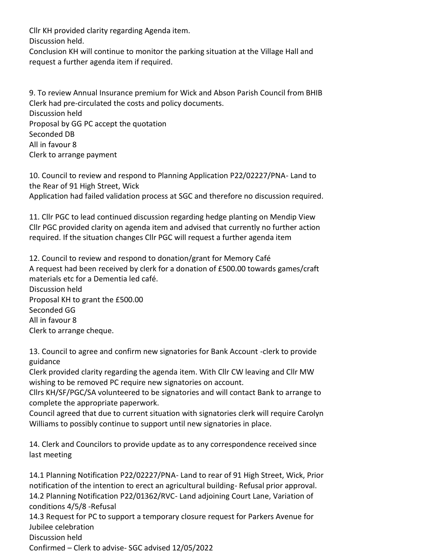Cllr KH provided clarity regarding Agenda item.

Discussion held.

Conclusion KH will continue to monitor the parking situation at the Village Hall and request a further agenda item if required.

9. To review Annual Insurance premium for Wick and Abson Parish Council from BHIB Clerk had pre-circulated the costs and policy documents. Discussion held Proposal by GG PC accept the quotation Seconded DB All in favour 8 Clerk to arrange payment

10. Council to review and respond to Planning Application P22/02227/PNA- Land to the Rear of 91 High Street, Wick Application had failed validation process at SGC and therefore no discussion required.

11. Cllr PGC to lead continued discussion regarding hedge planting on Mendip View Cllr PGC provided clarity on agenda item and advised that currently no further action required. If the situation changes Cllr PGC will request a further agenda item

12. Council to review and respond to donation/grant for Memory Café A request had been received by clerk for a donation of £500.00 towards games/craft materials etc for a Dementia led café. Discussion held Proposal KH to grant the £500.00 Seconded GG All in favour 8 Clerk to arrange cheque.

13. Council to agree and confirm new signatories for Bank Account -clerk to provide guidance

Clerk provided clarity regarding the agenda item. With Cllr CW leaving and Cllr MW wishing to be removed PC require new signatories on account.

Cllrs KH/SF/PGC/SA volunteered to be signatories and will contact Bank to arrange to complete the appropriate paperwork.

Council agreed that due to current situation with signatories clerk will require Carolyn Williams to possibly continue to support until new signatories in place.

14. Clerk and Councilors to provide update as to any correspondence received since last meeting

14.1 Planning Notification P22/02227/PNA- Land to rear of 91 High Street, Wick, Prior notification of the intention to erect an agricultural building- Refusal prior approval. 14.2 Planning Notification P22/01362/RVC- Land adjoining Court Lane, Variation of conditions 4/5/8 -Refusal 14.3 Request for PC to support a temporary closure request for Parkers Avenue for Jubilee celebration Discussion held Confirmed – Clerk to advise- SGC advised 12/05/2022